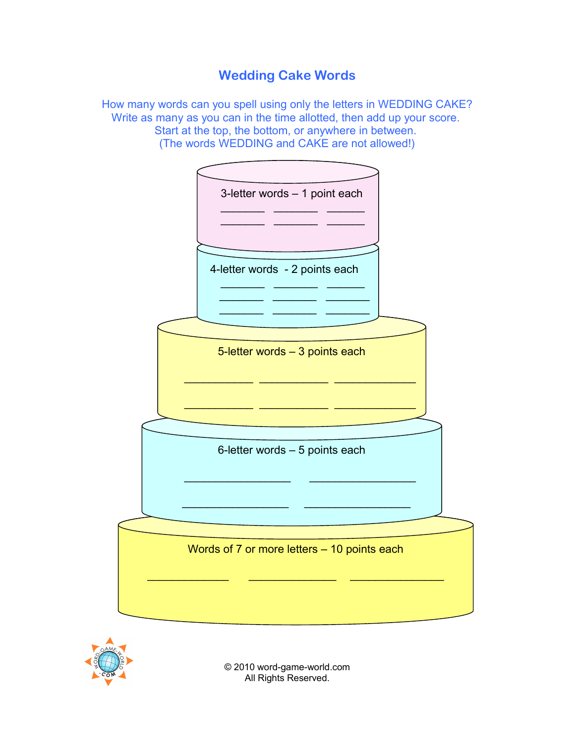# **Wedding Cake Words**

How many words can you spell using only the letters in WEDDING CAKE? Write as many as you can in the time allotted, then add up your score. Start at the top, the bottom, or anywhere in between. (The words WEDDING and CAKE are not allowed!)





© 2010 word-game-world.com All Rights Reserved.